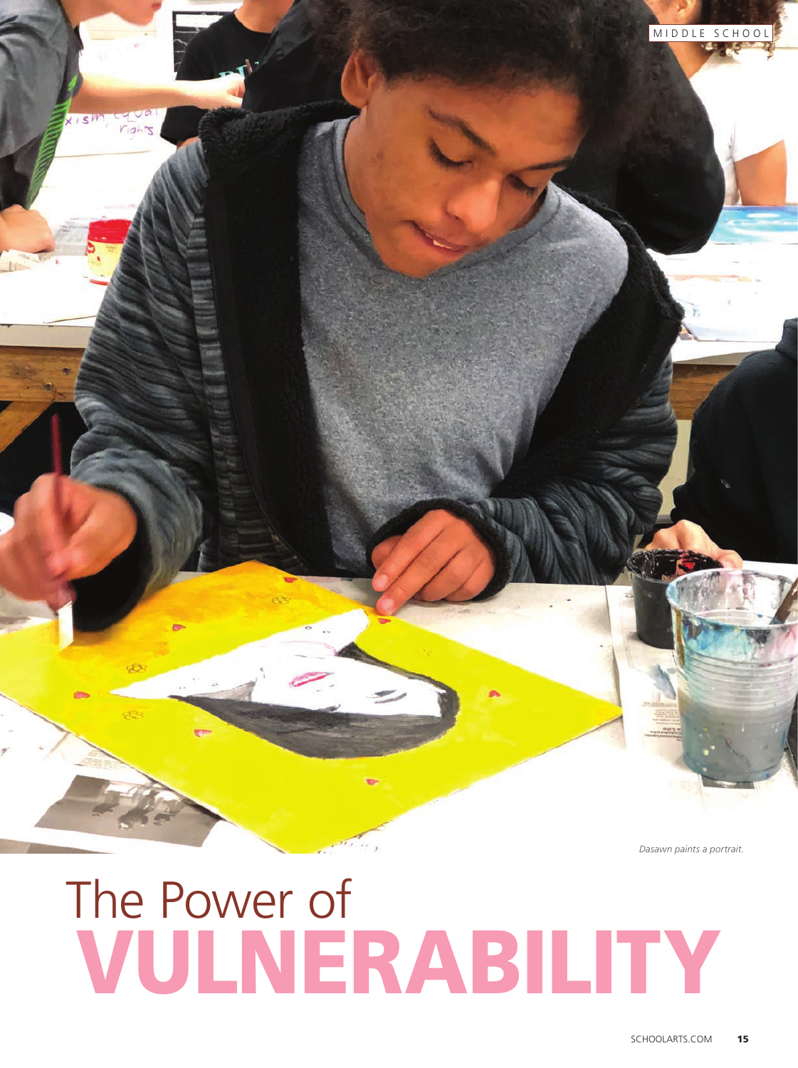

*Dasawn paints a portrait.*

# VULNERABILITY The Power of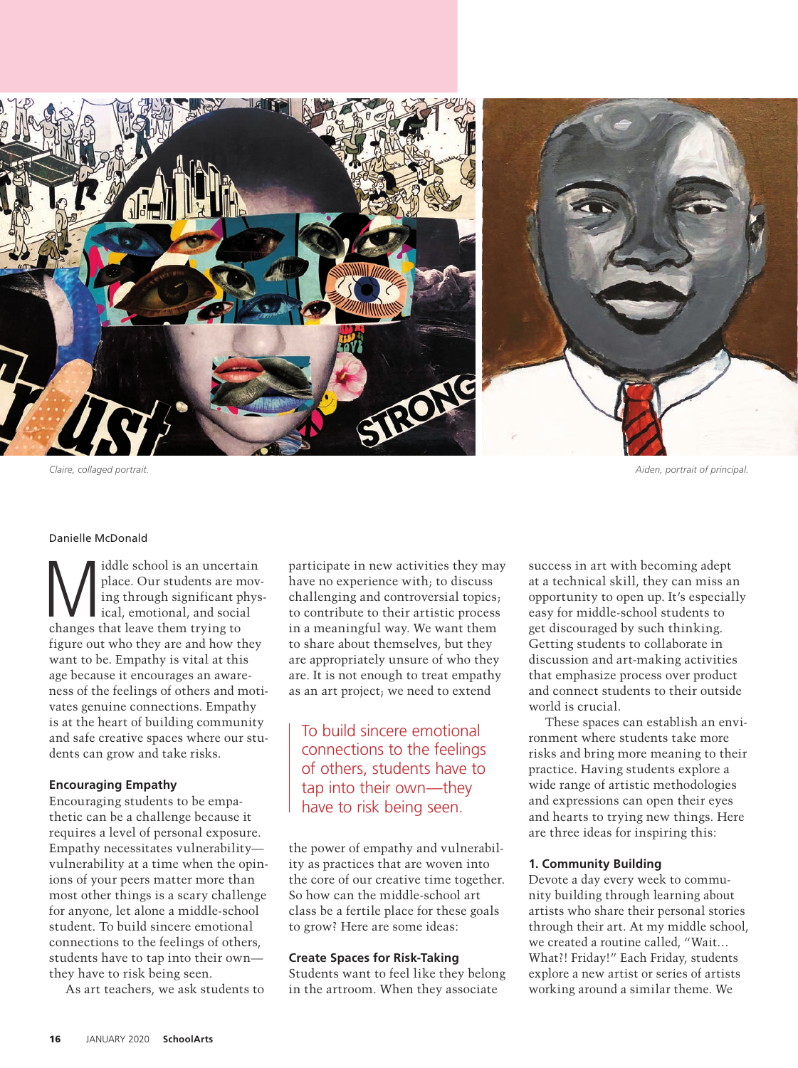

*Claire, collaged portrait.*

*Aiden, portrait of principal.*

#### Danielle McDonald

Middle school is an uncertain<br>place. Our students are move<br>ing through significant phys<br>changes that leave them trying to place. Our students are moving through significant physical, emotional, and social figure out who they are and how they want to be. Empathy is vital at this age because it encourages an awareness of the feelings of others and motivates genuine connections. Empathy is at the heart of building community and safe creative spaces where our students can grow and take risks.

### **Encouraging Empathy**

Encouraging students to be empathetic can be a challenge because it requires a level of personal exposure. Empathy necessitates vulnerability vulnerability at a time when the opinions of your peers matter more than most other things is a scary challenge for anyone, let alone a middle-school student. To build sincere emotional connections to the feelings of others, students have to tap into their own they have to risk being seen.

As art teachers, we ask students to

participate in new activities they may have no experience with; to discuss challenging and controversial topics; to contribute to their artistic process in a meaningful way. We want them to share about themselves, but they are appropriately unsure of who they are. It is not enough to treat empathy as an art project; we need to extend

To build sincere emotional connections to the feelings of others, students have to tap into their own—they have to risk being seen.

the power of empathy and vulnerability as practices that are woven into the core of our creative time together. So how can the middle-school art class be a fertile place for these goals to grow? Here are some ideas:

# **Create Spaces for Risk-Taking**

Students want to feel like they belong in the artroom. When they associate

success in art with becoming adept at a technical skill, they can miss an opportunity to open up. It's especially easy for middle-school students to get discouraged by such thinking. Getting students to collaborate in discussion and art-making activities that emphasize process over product and connect students to their outside world is crucial.

These spaces can establish an environment where students take more risks and bring more meaning to their practice. Having students explore a wide range of artistic methodologies and expressions can open their eyes and hearts to trying new things. Here are three ideas for inspiring this:

## **1. Community Building**

Devote a day every week to community building through learning about artists who share their personal stories through their art. At my middle school, we created a routine called, "Wait… What?! Friday!" Each Friday, students explore a new artist or series of artists working around a similar theme. We